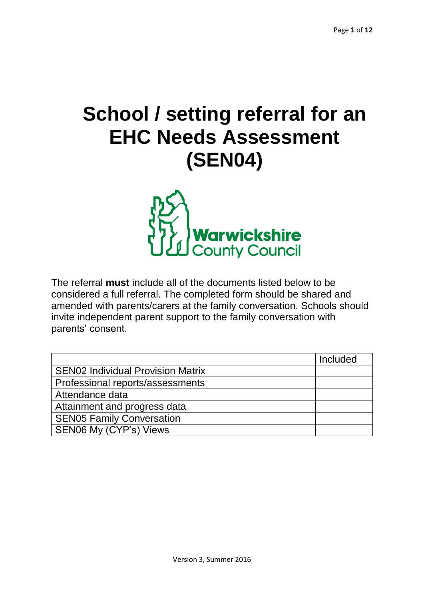# **School / setting referral for an EHC Needs Assessment (SEN04)**



The referral **must** include all of the documents listed below to be considered a full referral. The completed form should be shared and amended with parents/carers at the family conversation. Schools should invite independent parent support to the family conversation with parents' consent.

|                                          | Included |
|------------------------------------------|----------|
| <b>SEN02 Individual Provision Matrix</b> |          |
| Professional reports/assessments         |          |
| Attendance data                          |          |
| Attainment and progress data             |          |
| <b>SEN05 Family Conversation</b>         |          |
| SEN06 My (CYP's) Views                   |          |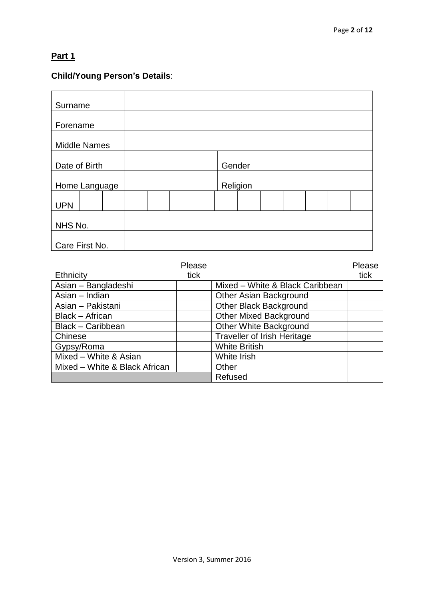# **Part 1**

# **Child/Young Person's Details**:

| Surname             |          |
|---------------------|----------|
| Forename            |          |
| <b>Middle Names</b> |          |
| Date of Birth       | Gender   |
| Home Language       | Religion |
| <b>UPN</b>          |          |
| NHS No.             |          |
| Care First No.      |          |

|                               | Please |                                    | Please |
|-------------------------------|--------|------------------------------------|--------|
| <b>Ethnicity</b>              | tick   |                                    | tick   |
| Asian - Bangladeshi           |        | Mixed - White & Black Caribbean    |        |
| Asian - Indian                |        | Other Asian Background             |        |
| Asian - Pakistani             |        | <b>Other Black Background</b>      |        |
| <b>Black - African</b>        |        | <b>Other Mixed Background</b>      |        |
| Black - Caribbean             |        | <b>Other White Background</b>      |        |
| Chinese                       |        | <b>Traveller of Irish Heritage</b> |        |
| Gypsy/Roma                    |        | <b>White British</b>               |        |
| Mixed - White & Asian         |        | White Irish                        |        |
| Mixed - White & Black African |        | Other                              |        |
|                               |        | Refused                            |        |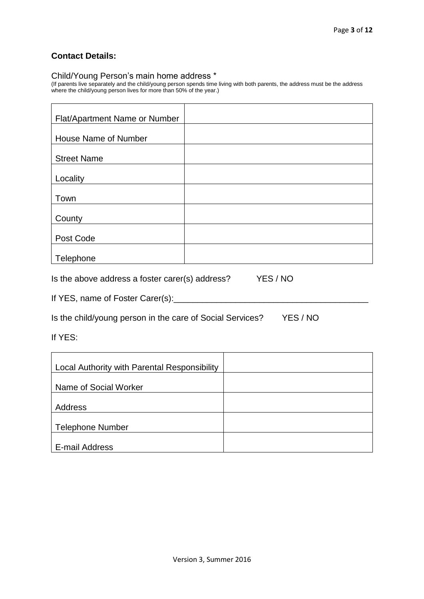#### **Contact Details:**

#### Child/Young Person's main home address \*

(If parents live separately and the child/young person spends time living with both parents, the address must be the address where the child/young person lives for more than 50% of the year.)

| Flat/Apartment Name or Number |  |
|-------------------------------|--|
|                               |  |
| <b>House Name of Number</b>   |  |
|                               |  |
| <b>Street Name</b>            |  |
|                               |  |
| Locality                      |  |
|                               |  |
| Town                          |  |
|                               |  |
| County                        |  |
|                               |  |
| Post Code                     |  |
|                               |  |
| Telephone                     |  |

Is the above address a foster carer(s) address? YES / NO

If YES, name of Foster Carer(s):\_\_\_\_\_\_\_\_\_\_\_\_\_\_\_\_\_\_\_\_\_\_\_\_\_\_\_\_\_\_\_\_\_\_\_\_\_\_\_\_\_

Is the child/young person in the care of Social Services? YES / NO

If YES:

| Local Authority with Parental Responsibility |  |
|----------------------------------------------|--|
| Name of Social Worker                        |  |
|                                              |  |
| Address                                      |  |
| <b>Telephone Number</b>                      |  |
|                                              |  |
| E-mail Address                               |  |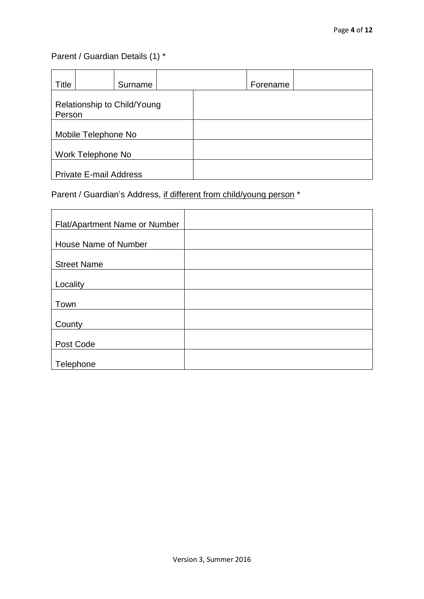# Parent / Guardian Details (1) \*

| Title                                 | Surname | Forename |  |
|---------------------------------------|---------|----------|--|
| Relationship to Child/Young<br>Person |         |          |  |
| Mobile Telephone No                   |         |          |  |
| Work Telephone No                     |         |          |  |
| <b>Private E-mail Address</b>         |         |          |  |

Parent / Guardian's Address, if different from child/young person \*

| Flat/Apartment Name or Number |  |
|-------------------------------|--|
|                               |  |
| House Name of Number          |  |
|                               |  |
| <b>Street Name</b>            |  |
|                               |  |
| Locality                      |  |
|                               |  |
| Town                          |  |
|                               |  |
| County                        |  |
|                               |  |
| Post Code                     |  |
|                               |  |
| Telephone                     |  |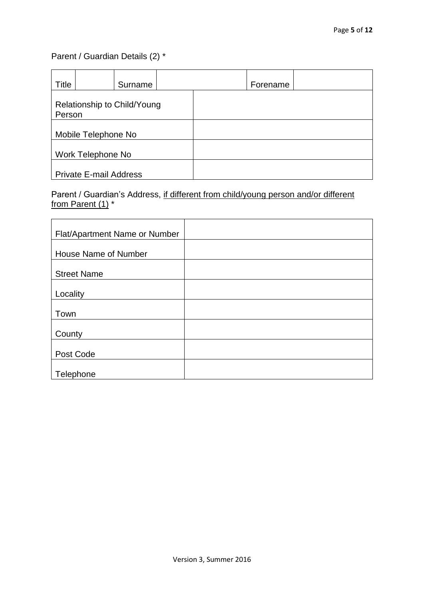# Parent / Guardian Details (2) \*

| Title                                 | Surname | Forename |  |
|---------------------------------------|---------|----------|--|
| Relationship to Child/Young<br>Person |         |          |  |
| Mobile Telephone No                   |         |          |  |
| Work Telephone No                     |         |          |  |
| <b>Private E-mail Address</b>         |         |          |  |

## Parent / Guardian's Address, if different from child/young person and/or different from Parent (1) \*

| Flat/Apartment Name or Number |  |
|-------------------------------|--|
| House Name of Number          |  |
| <b>Street Name</b>            |  |
| Locality                      |  |
| Town                          |  |
| County                        |  |
| Post Code                     |  |
| Telephone                     |  |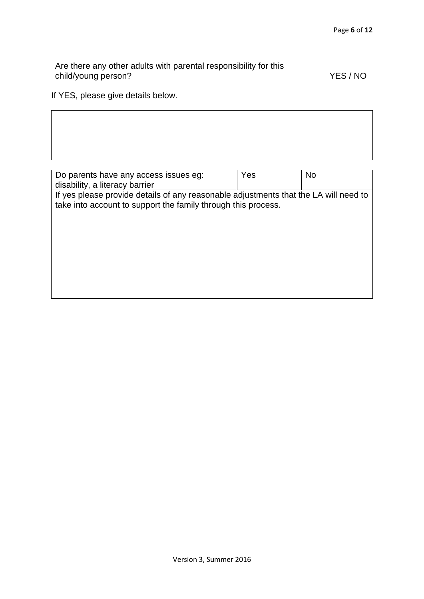Are there any other adults with parental responsibility for this child/young person? The contract of the contract of the contract of the YES / NO

If YES, please give details below.

 $\mathsf{L}$ 

| Do parents have any access issues eg:                                                | Yes | <b>No</b> |
|--------------------------------------------------------------------------------------|-----|-----------|
| disability, a literacy barrier                                                       |     |           |
| If yes please provide details of any reasonable adjustments that the LA will need to |     |           |
| take into account to support the family through this process.                        |     |           |
|                                                                                      |     |           |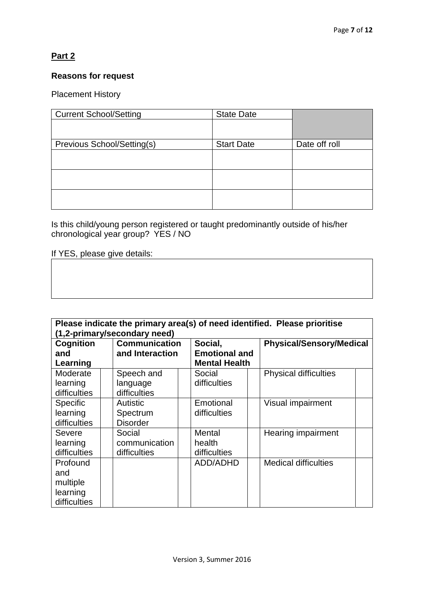## **Part 2**

### **Reasons for request**

#### Placement History

| <b>Current School/Setting</b> | <b>State Date</b> |               |
|-------------------------------|-------------------|---------------|
|                               |                   |               |
| Previous School/Setting(s)    | <b>Start Date</b> | Date off roll |
|                               |                   |               |
|                               |                   |               |
|                               |                   |               |
|                               |                   |               |

Is this child/young person registered or taught predominantly outside of his/her chronological year group? YES / NO

If YES, please give details:

| Please indicate the primary area(s) of need identified. Please prioritise |                      |                      |                                 |  |
|---------------------------------------------------------------------------|----------------------|----------------------|---------------------------------|--|
| (1,2-primary/secondary need)                                              |                      |                      |                                 |  |
| <b>Cognition</b>                                                          | <b>Communication</b> | Social,              | <b>Physical/Sensory/Medical</b> |  |
| and                                                                       | and Interaction      | <b>Emotional and</b> |                                 |  |
| Learning                                                                  |                      | <b>Mental Health</b> |                                 |  |
| Moderate                                                                  | Speech and           | Social               | <b>Physical difficulties</b>    |  |
| learning                                                                  | language             | difficulties         |                                 |  |
| difficulties                                                              | difficulties         |                      |                                 |  |
| <b>Specific</b>                                                           | <b>Autistic</b>      | Emotional            | Visual impairment               |  |
| learning                                                                  | Spectrum             | difficulties         |                                 |  |
| difficulties                                                              | <b>Disorder</b>      |                      |                                 |  |
| <b>Severe</b>                                                             | Social               | Mental               | Hearing impairment              |  |
| learning                                                                  | communication        | health               |                                 |  |
| difficulties                                                              | difficulties         | difficulties         |                                 |  |
| Profound                                                                  |                      | ADD/ADHD             | <b>Medical difficulties</b>     |  |
| and                                                                       |                      |                      |                                 |  |
| multiple                                                                  |                      |                      |                                 |  |
| learning                                                                  |                      |                      |                                 |  |
| difficulties                                                              |                      |                      |                                 |  |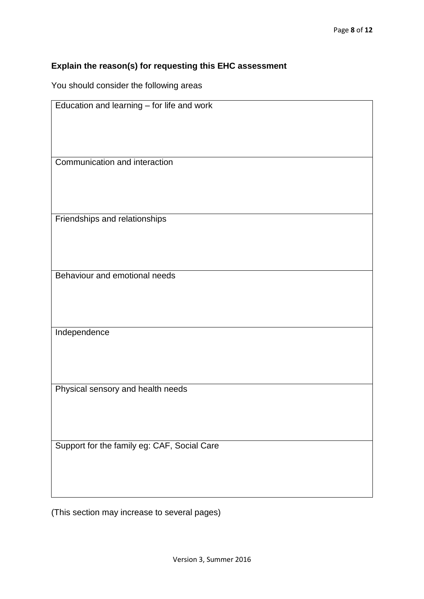## **Explain the reason(s) for requesting this EHC assessment**

You should consider the following areas

| Education and learning - for life and work  |
|---------------------------------------------|
|                                             |
|                                             |
|                                             |
|                                             |
|                                             |
|                                             |
| Communication and interaction               |
|                                             |
|                                             |
|                                             |
|                                             |
|                                             |
|                                             |
| Friendships and relationships               |
|                                             |
|                                             |
|                                             |
|                                             |
|                                             |
|                                             |
| Behaviour and emotional needs               |
|                                             |
|                                             |
|                                             |
|                                             |
|                                             |
|                                             |
| Independence                                |
|                                             |
|                                             |
|                                             |
|                                             |
|                                             |
|                                             |
| Physical sensory and health needs           |
|                                             |
|                                             |
|                                             |
|                                             |
|                                             |
|                                             |
| Support for the family eg: CAF, Social Care |
|                                             |
|                                             |
|                                             |
|                                             |
|                                             |
|                                             |
|                                             |

(This section may increase to several pages)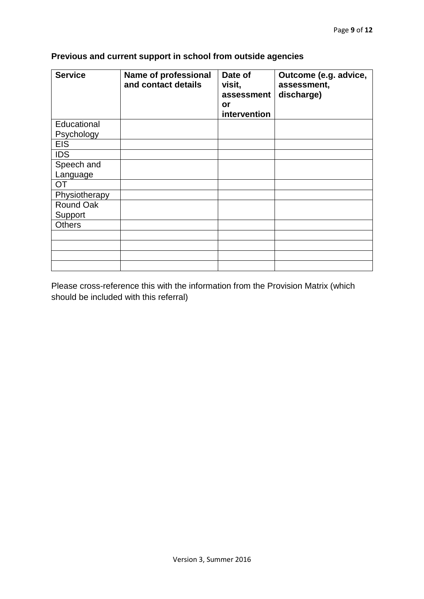| <b>Service</b> | <b>Name of professional</b><br>and contact details | Date of<br>visit,<br>assessment<br>or<br>intervention | Outcome (e.g. advice,<br>assessment,<br>discharge) |
|----------------|----------------------------------------------------|-------------------------------------------------------|----------------------------------------------------|
| Educational    |                                                    |                                                       |                                                    |
| Psychology     |                                                    |                                                       |                                                    |
| <b>EIS</b>     |                                                    |                                                       |                                                    |
| <b>IDS</b>     |                                                    |                                                       |                                                    |
| Speech and     |                                                    |                                                       |                                                    |
| Language       |                                                    |                                                       |                                                    |
| OT             |                                                    |                                                       |                                                    |
| Physiotherapy  |                                                    |                                                       |                                                    |
| Round Oak      |                                                    |                                                       |                                                    |
| Support        |                                                    |                                                       |                                                    |
| <b>Others</b>  |                                                    |                                                       |                                                    |
|                |                                                    |                                                       |                                                    |
|                |                                                    |                                                       |                                                    |
|                |                                                    |                                                       |                                                    |
|                |                                                    |                                                       |                                                    |

# **Previous and current support in school from outside agencies**

Please cross-reference this with the information from the Provision Matrix (which should be included with this referral)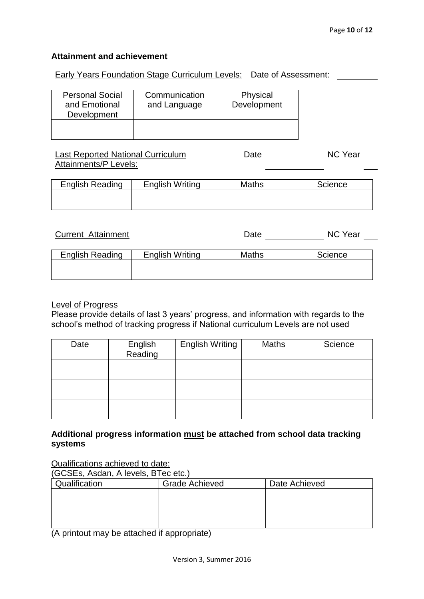#### **Attainment and achievement**

Early Years Foundation Stage Curriculum Levels: Date of Assessment:

| <b>Personal Social</b><br>and Emotional<br>Development | Communication<br>and Language | Physical<br>Development |
|--------------------------------------------------------|-------------------------------|-------------------------|
|                                                        |                               |                         |

#### Last Reported National Curriculum Attainments/P Levels: Date NC Year

| <b>English Reading</b> | <b>English Writing</b> | <b>Maths</b> | <b>Science</b> |
|------------------------|------------------------|--------------|----------------|
|                        |                        |              |                |
|                        |                        |              |                |

| <b>Current Attainment</b> |                        | Date         | NC Year |
|---------------------------|------------------------|--------------|---------|
|                           |                        |              |         |
| <b>English Reading</b>    | <b>English Writing</b> | <b>Maths</b> | Science |
|                           |                        |              |         |
|                           |                        |              |         |

#### Level of Progress

Please provide details of last 3 years' progress, and information with regards to the school's method of tracking progress if National curriculum Levels are not used

| Date | English<br>Reading | <b>English Writing</b> | Maths | Science |
|------|--------------------|------------------------|-------|---------|
|      |                    |                        |       |         |
|      |                    |                        |       |         |
|      |                    |                        |       |         |

#### **Additional progress information must be attached from school data tracking systems**

Qualifications achieved to date:

(GCSEs, Asdan, A levels, BTec etc.)

| Qualification | <b>Grade Achieved</b> | Date Achieved |
|---------------|-----------------------|---------------|
|               |                       |               |
|               |                       |               |
|               |                       |               |
|               |                       |               |

(A printout may be attached if appropriate)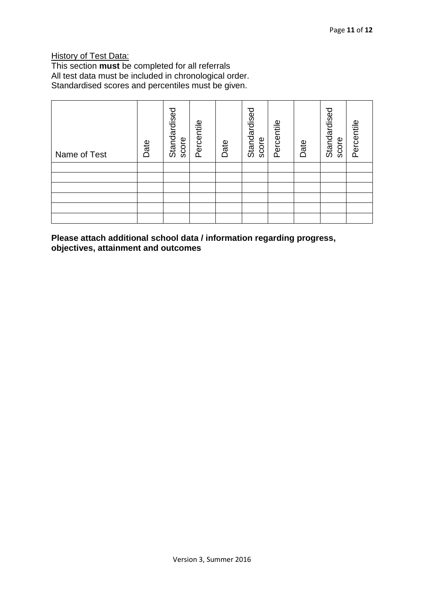### **History of Test Data:**

This section **must** be completed for all referrals All test data must be included in chronological order. Standardised scores and percentiles must be given.

| Name of Test | Date | Standardised<br>score | Percentile | Date | Standardised<br>score | Percentile | Date | Standardised<br>score | Percentile |
|--------------|------|-----------------------|------------|------|-----------------------|------------|------|-----------------------|------------|
|              |      |                       |            |      |                       |            |      |                       |            |
|              |      |                       |            |      |                       |            |      |                       |            |
|              |      |                       |            |      |                       |            |      |                       |            |
|              |      |                       |            |      |                       |            |      |                       |            |
|              |      |                       |            |      |                       |            |      |                       |            |
|              |      |                       |            |      |                       |            |      |                       |            |

**Please attach additional school data / information regarding progress, objectives, attainment and outcomes**